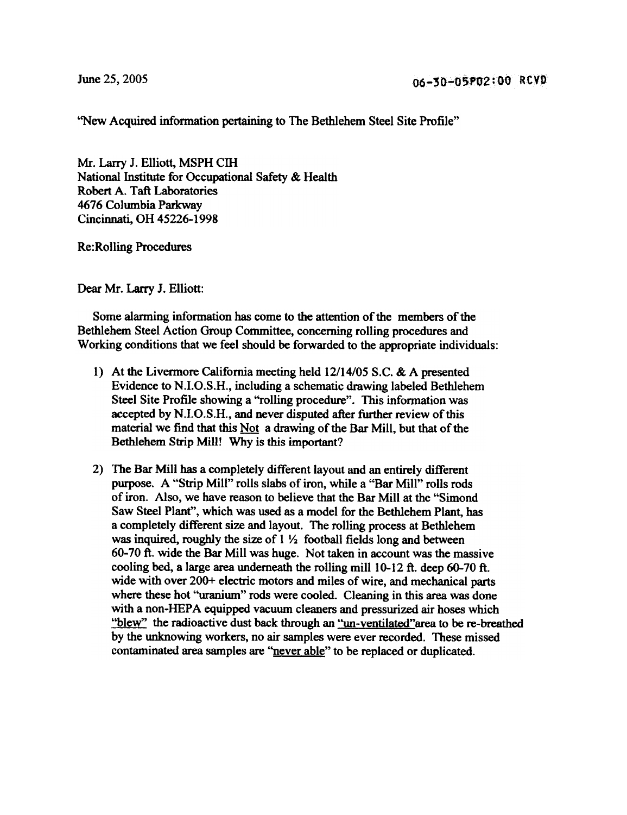"New Acquired information pertaining to The Bethlehem Steel Site Profile"

Mr. Larry J. Elliott, MSPH ClH National Institute for Occupational Safety & Health Robert A. Taft Laboratories 4676 Columbia Parkway Cincinnati, OH 45226-1998

Re:Rolling Procedures

Dear Mr. Larry J. Elliott:

Some alarming information has come to the attention of the members of the Bethlehem Steel Action Group Committee, concerning rolling procedures and Working conditions that we feel should be forwarded to the appropriate individuals:

- 1) At the Livennore California meeting held 12/14/05 S.C. & A presented Evidence to N.I.O.S.H., including a schematic drawing labeled Bethlehem Steel Site Profile showing a "rolling procedure". This information was accepted by N.I.O.S.H., and never disputed after further review of this material we find that this Not a drawing of the Bar Mill, but that of the Bethlehem Strip Mill! Why is this important?
- 2) The Bar Mill has a completely different layout and an entirely different purpose. A "Strip Mill" rolls slabs of iron, while a "Bar Mill" rolls rods of iron. Also, we have reason to believe that the Bar Mill at the "Simond Saw Steel Plant", which was used as a model for the Bethlehem Plant, has a completely different size and layout. The rolling process at Bethlehem was inquired, roughly the size of  $1 \frac{1}{2}$  football fields long and between 60-70 ft. wide the Bar Mill was huge. Not taken in account was the massive cooling bed, a large area underneath the rolling mill 10-12 ft. deep 60-70 ft. wide with over 200+ electric motors and miles of wire, and mechanical parts where these hot "uranium" rods were cooled. Cleaning in this area was done with a non-HEPA equipped vacuum cleaners and pressurized air hoses which "blew" the radioactive dust back through an "un-ventilated"area to be re-breathed by the unknowing workers, no air samples were ever recorded. These missed contaminated area samples are "never able" to be replaced or duplicated.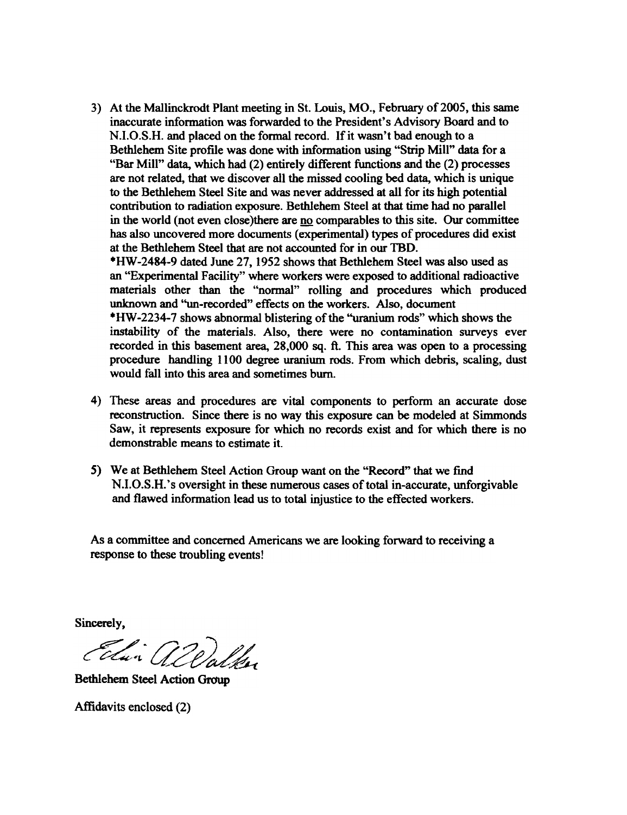3) At the Mallinckrodt Plant meeting in St. Louis, MO., February of 2005, this same inaccurate infonnation was forwarded to the President's Advisory Board and to N.I.O.S.H. and placed on the fonnal record. If it wasn't bad enough to a Bethlehem Site profile was done with information using "Strip Mill" data for a "Bar Mill" data, which had (2) entirely different functions and the (2) processes are not related, that we discover all the missed cooling bed data, which is unique to the Bethlehem Steel Site and was never addressed at all for its high potential contribution to radiation exposure. Bethlehem Steel at that time had no parallel in the world (not even close)there are no comparables to this site. Our committee has also uncovered more documents (experimental) types of procedures did exist at the Bethlehem Steel that are not accounted for in our TBD. \*HW -2484-9 dated June 27, 1952 shows that Bethlehem Steel was also used as

an "Experimental Facility" where workers were exposed to additional radioactive materials other than the "normal" rolling and procedures which produced unknown and "un-recorded" effects on the workers. Also, document \*HW-2234-7 shows abnormal blistering of the "uranium rods" which shows the instability of the materials. Also, there were no contamination surveys ever recorded in this basement area, 28,000 sq. ft. This area was open to a processing procedure handling 1100 degree uranium rods. From which debris, scaling, dust would fall into this area and sometimes burn.

- 4) These areas and procedures are vital components to perform an accurate dose reconstruction. Since there is no way this exposure can be modeled at Simmonds Saw, it represents exposure for which no records exist and for which there is no demonstrable means to estimate it.
- 5) We at Bethlehem Steel Action Group want on the "Record" that we find N.I.O.S.H.'s oversight in these numerous cases of total in-accurate, unforgivable and flawed information lead us to total injustice to the effected workers.

As a committee and concerned Americans we are looking forward to receiving a response to these troubling events!

Sincerely,

Elin allalka

Bethlehem Steel Action Group

Affidavits enclosed (2)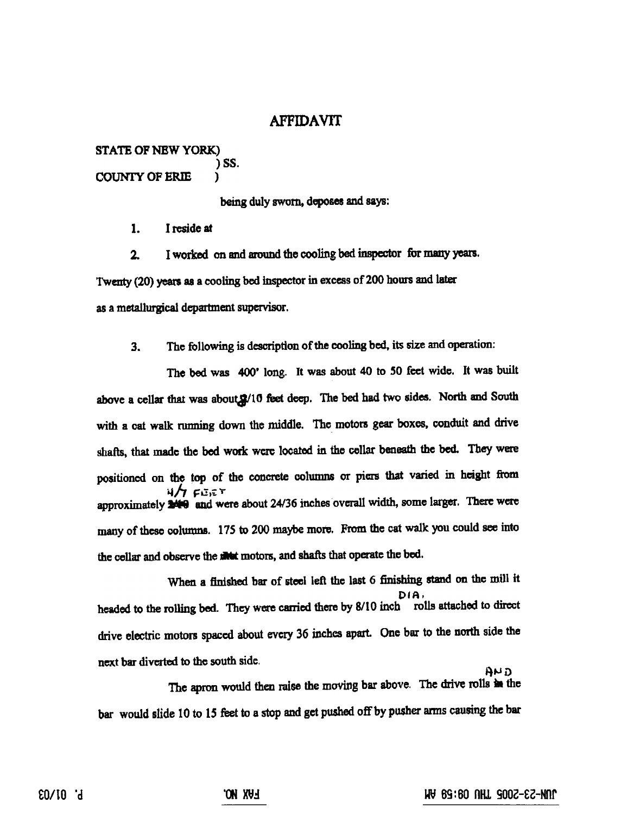### **AFFIDAVIT**

STATE OF NEW YORK} )88. COUNrY OF ERIE )

being duly sworn, deposes and says:

1. I reside at

2. I worked on and around the cooling bed inspector fur many years. Twenty (20) years as a cooling bed inspector in excess of 200 hours and later as a metallurgical department supervisor.

3. The following is description of the cooling bed, its size and operation:

The bed was 400' long. It was about 40 to 50 feet wide. It was built above a cellar that was about  $2/10$  feet deep. The bed had two sides. North and South with a cat walk running down the middle. The motors gear boxes, conduit and drive shafts, that made the bed work were located in the cellar beneath the bed. They were positioned on the top of the concrete columns or piers that varied in height ftom  $4/7$   $F \to F$ <br>approximately **240** and were about 24/36 inches overall width, some larger. There were many of these columns. 175 to 200 maybe mote. From the cat walk you could see into the cellar and observe the **motors**, and shafts that operate the bed.

When a finished bar of steel left the last 6 finishing stand on the mill it DIA,<br>headed to the rolling bed. They were carried there by 8/10 inch rolls attached to direct drive electric motors spaced about evcry 36 inches apart. One bar to the north side the next bar diverted to the south side.

The apron would then raise the moving bar above. The drive rolls in the bar would slide 10 to 15 feet to a stop and get pushed off by pusher arms causing the bar

 $A$ ND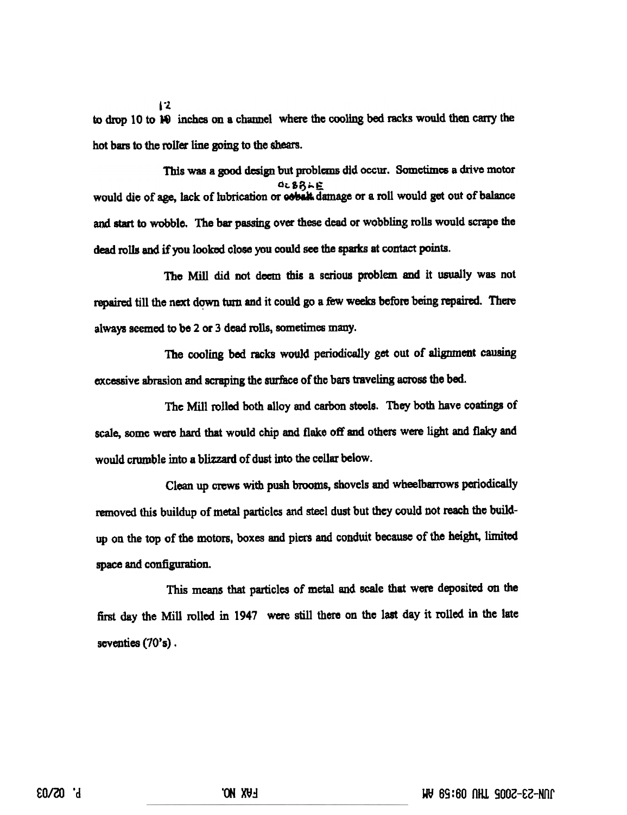to drop 10 to No inches on a channel where the cooling bed racks would then carry the hot bars to the roller line going to the shears.

 $12$ 

This was a good design but problems did occm. Sometimes a drive motor would die of age, lack of lubrication or **cobalt** damage or a roll would get out of balance and start to wobblo. The bar passing over these dead or wobbling rolls would scrape the dead rolls and if you looked close you could see the sparks at contact points.

The Mill did not deem this a scrious problem and it usually was not repaired till the next down turn and it could go a few weeks before being repaired. There always seemed to be 2 or 3 dead rolls, sometimes many.

The cooling bed racks would periodically get out of alignment causing excessive abrasion and scraping the surface of the bars traveling across the bed.

The Mill rolled both alloy and carbon steels. They both have coatings of scale, some were hard that would chip and flake off and others were light and flaky and would crumble into a blizzard of dust into the cellar below.

Clean up crews with push brooms, shovels and wheelbarrows periodically removed this buildup of metal particles and steel dust but they could not reach the buildup on the top of the motors. boxes and piers and conduit because of the height, limited space and configuration.

This means that particles of metal and scale that were deposited on the first day the Mill rolled in 1947 were still there on the last day it rolled in the late seventies (70's).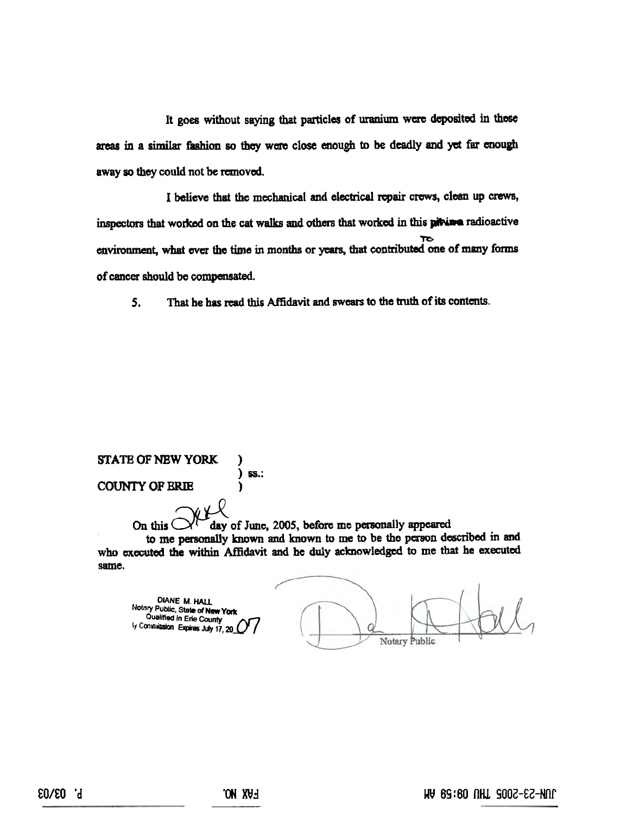It goes without saying that particles of uranium were deposited in these areas in a similar fashion so they were close enough to be deadly and yet far enough away so they could not be removed.

I believe that the mechanical and electrical repair crews, clean up crews, inspectors that worked on the cat walks and others that worked in this pitving radioactive environment, what ever the time in months or years, that contributed one of many forms of cancer should be compensated.

That he has read this Affidavit and swears to the truth of its contents.  $5.$ 

#### **STATE OF NEW YORK**  $)$  ss.: **COUNTY OF ERIE**

v X-X

day of June, 2005, before me personally appeared On this<sup>(</sup> to me personally known and known to me to be the person described in and who executed the within Affidavit and he duly acknowledged to me that he executed same.

DIANE M. HALL Nothry Public, State of New York Qualified in Erie County ly Construission Expires July 17, 20

**Notary Public**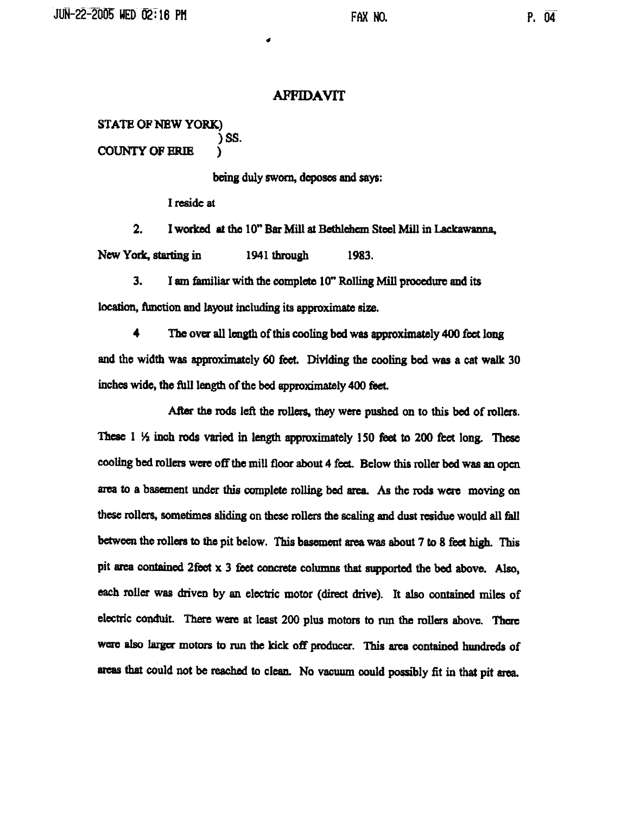#### **AFFIDAVIT**

-

#### STATE OF NEW YORK.) )88. COUNTY OF BRIB )

being duly sworn, dcposes and says;

I reside at

2. I worked at the 10" Bar Mill at Bethlehem Steel Mill in Lackawanna. New York, starting in 1941 through 1983.

3. I am familiar with the complete 10" Rolling Mill proccdme and its location, function and layout including its approximate size.

4 The over all length of this cooling bed was approximately 400 feet long and the width was approxjmatcly 60 feet. Dividing the cooling bed was a cat walk 30 inches wide, the full length of the bed approximately 400 feet.

After the rods left the rollers, they were pushed on to this bed of rollers. These  $1\frac{1}{2}$  inch rods varied in length approximately 150 feet to 200 feet long. These cooling bed rollers were off the mill floor about 4 feel Below this roller bed was an open area to a basement under this complete rolling bed area. As the rods were moving on these rollers, sometimes sliding on these rollers the scaling and dust residue would all fall between the rollers to the pit below. This basement area was about 7 to 8 feet high. This pit area contained 2feet  $x$  3 feet concrete columns that supported the bed above. Also, each roller was driven by an electric motor (direct drive). It also contained miles of electric conduit. There were at least 200 plus motors to run the rollers above. There were also larger motors to run the kick off producer. This area contained hundreds of areas that could not be reached to clean. No vacuum could possibly fit in that pit area.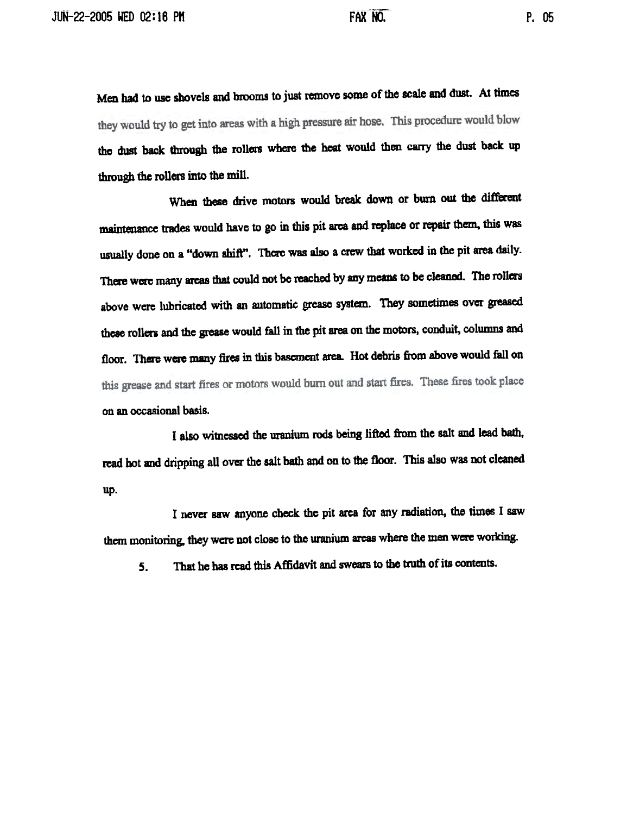Men had to use shovels and brooms to just remove some of the scale and dust. At times they would try to get into areas with a high pressure air hose. This procedure would blow thc dust back through the rollers where the heat would then carry the dust back up through the rollers into the mill.

When these drive motors would break down or burn out the different maintenance trades would have to go in this pit area and replace or repair them. this was usually done on a "down shift". There was also a crew that worked in the pit area daily. There were many areas that could not be reached by any means to be cleaned. The rollers above were lubricated with an automatic grease system. They sometimes over greased these rollers and the grease would fall in the pit area on the motors, conduit, columns and floor. There were many fires in this basement area. Hot debris from above would fall on this grease and start fires or motors would burn out and start fires. These fires took place on an occasional basis.

I also witnessed the uranium rods being lifted from the salt and lead badl. read hot and dripping all over the salt bath and on to the floor. This also was not cleaned up.

I never saw anyone check the pit arca for any radiation, the times I saw them monitoring, they were not close to the uranium areas where the men were working.

That he bas read this Affidavit and swears to the tmth of its contents. 5.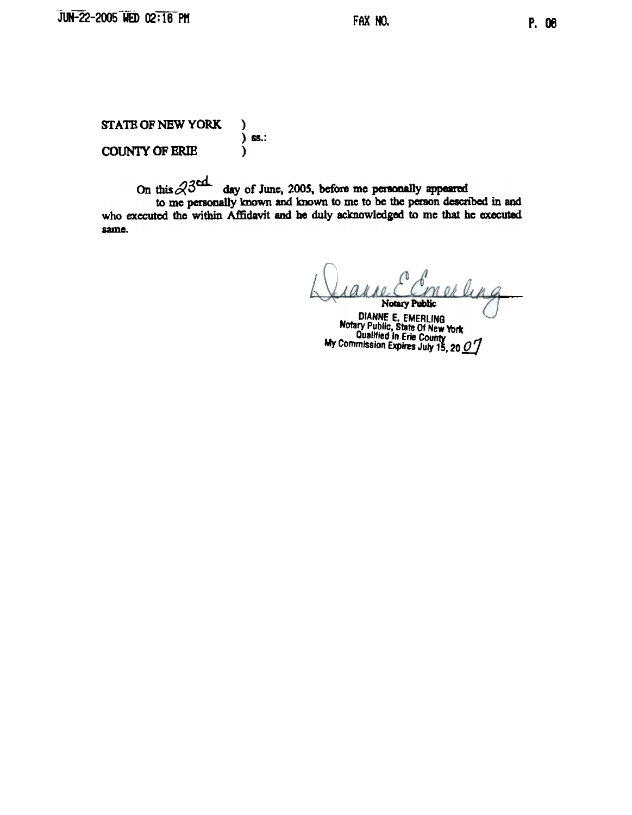P. 06

**STATE OF NEW YORK**  $\lambda$  $\overline{)$  ss.: **COUNTY OF ERIE**  $\lambda$ 

On this  $23$  day of June, 2005, before me personally appeared to me personally known and known to me to be the person described in and who executed the within Affidavit and he duly acknowledged to me that he executed same.

n ok lin a Notary Public

DIANNE E. EMERLING<br>Notary Public, State Of New York<br>Qualified In Erie County<br>My Commission Expires July 15, 20 0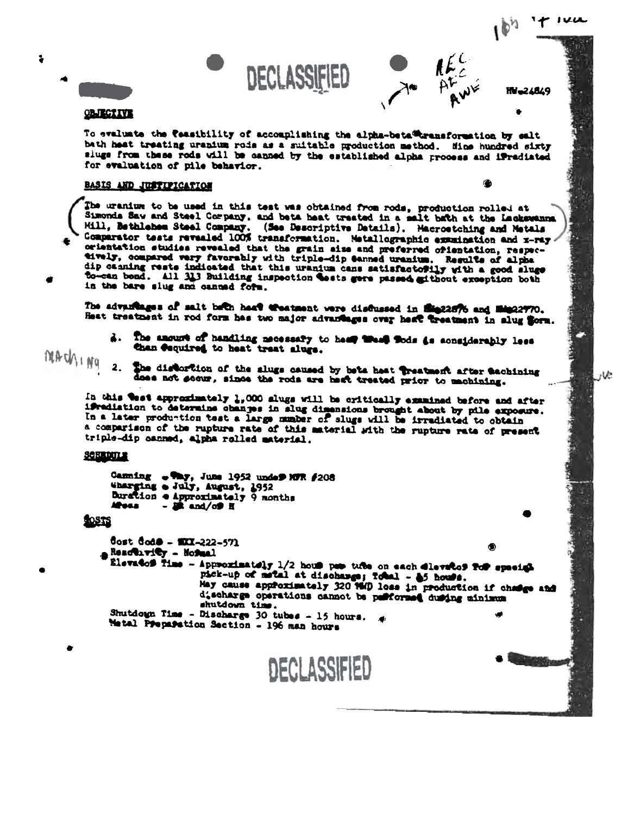

**HV-24849** 

◉



 $\ddot{\bullet}$ 

#### **OBJECTIVE**

To evaluate the teasibility of accomplishing the alpha-beta@kransformation by salt bath heat treating uranium rois as a suitable production method. Hine hundred sixty siugs from these rods will be canned by the established alpha process and iFradiated for evaluation of pile behavior.

DECLASSIFIED

No AFC

#### BASIS AND JUSTIFICATION

The uranium to be used in this test was obtained from rods, production rolled at Simonds Sav and Steel Company, and beta heat treated in a salt bath at the Lackswanna. Hill, Bethlehem Steel Company. (See Descriptive Details). Macroetching and Metals Comparator tests revealed 100% transformation. Metallographic examination and x-ray orientation studies revealed that the grain size and preferred orientation, respectively, compared very favorably with triple-dip Sanned uranium. Regults of alpha dip canning rests indicated that this uranium cans satisfactofily with a good sluge to-can bond. All 313 Building inspection tests gere passed githout exception both in the bare slug and canned form.

The advantages of salt bath haat Weatsent were disflussed in Sie22876 and Min22770. Heat treatment in rod form has two major advantages over heat treatment in slug form.

- d. The amount of handling mecessary to heat track fods to sonsiderably less than Coquired to heat treat alugs.
- MACWING 2. She distortion of the slugs caused by beta heat treatment after tachining does not secure, since the rods are heat treated prior to machining.

In this west approximately 1,000 slugs will be critically examined before and after ifradiation to determine changes in alug dimensions brought about by pile exposure. In a later production test a large number of slugs will be irradiated to obtain a comparison of the rupture rate of this material with the rupture rate of present triple-dip canned, alpha rolled material.

#### SCHRDULE

```
Canning . Tay, June 1952 under MTR #208
Wharging a July, August, 1952
Buration e Approximately 9 months
Moss
         - \overline{a} and/off H
```
#### **LOSTS**

```
Cost Code - $XX-222-571
ABACCIFICY - Normal
  Elevatof Time - Approximately 1/2 hous pas tube on each dlevatof for special
                    pick-up of metal at discharge; folal - 85 house.<br>May cause approximately 320 1940 loss in production if change and
                     discharge operations cannot be publormed during minimum
                     shutdown time.
  Shutdogn Time - Discharge 30 tubes - 15 hours. \mathcal{A}Matal Preparation Section - 196 man hours
```
**DECLASSIFIED**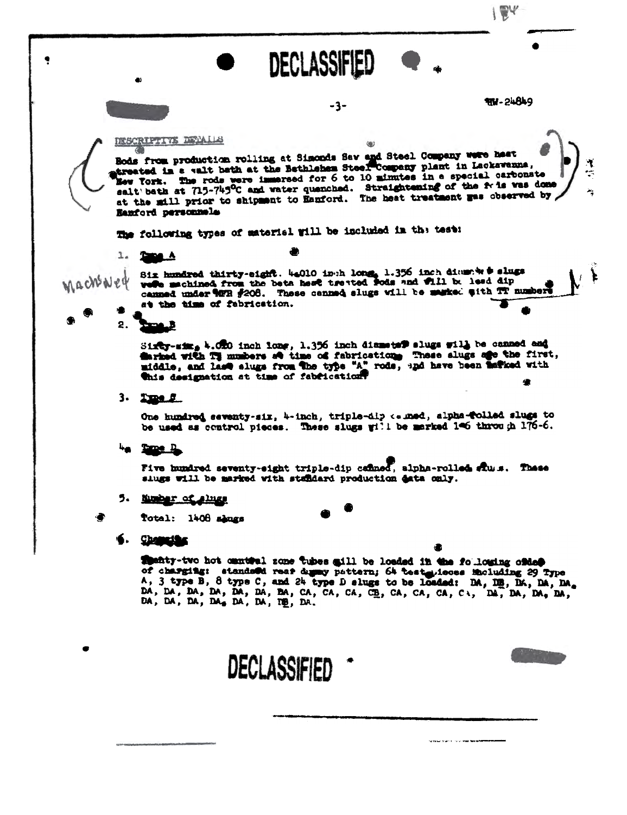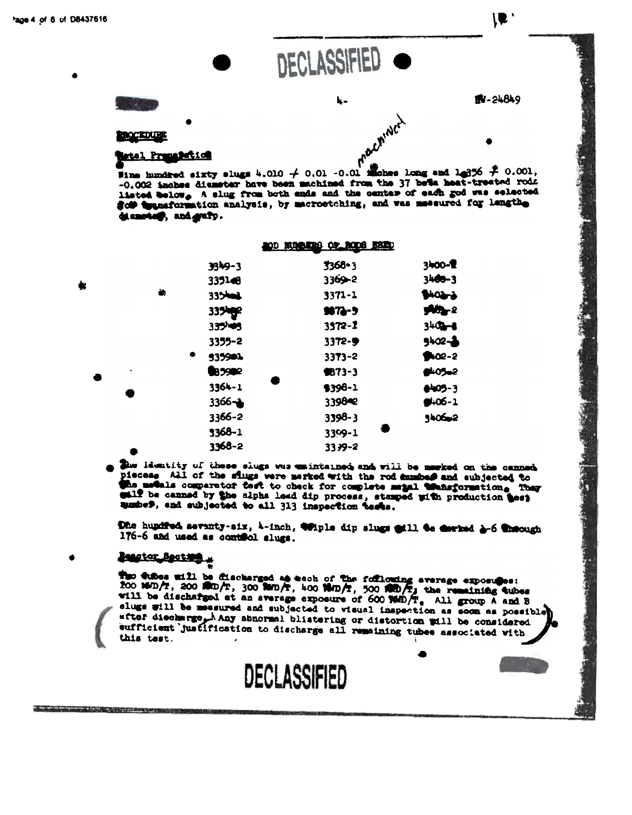

 $\mathbf{L}$  :

Fine hundred sixty slugs 4.010  $\neq$  0.01 -0.01 inches long and 1.356  $\neq$  0.001, -0.002 inches diameter have been machined from the 37 bela heat-treated rods liated below. A slug from both ends and the center of each god was selected god the selected diamotos, and grafy.

|     |   | OD KUOKRO OP RODS HERD |             |            |
|-----|---|------------------------|-------------|------------|
|     |   | 3349-3                 | 3368-3      | 3400-2     |
|     |   | 335146                 | $3369 - 2$  | 3400-3     |
|     | ò | 335402                 | 3371-1      | SHOLL      |
|     |   | 335kg <sup>2</sup>     | $987 - 9$   | $M - 2$    |
|     |   | 335145                 | $3372 - 2$  | $340 - 6$  |
|     |   | 3355-2                 | 3372-9      | $5402 - 3$ |
|     |   | ٠<br>535901            | $3373 - 2$  | $902 - 2$  |
| ٠   |   | 85992                  | $$73-3$     | 8405-2     |
|     |   | 3364-1                 | \$398-1     | $005 - 3$  |
| - 3 |   | $3366 - 1$             | 339842      | $9.06 - 1$ |
|     |   | 3366-2                 | $3398 - 3$  | 340602     |
|     |   | 3368-1                 | 3399-1      |            |
|     |   | 3368-2                 | $33.39 - 2$ |            |

Due levatity of these slugs was emintained and will be marked on the canned piecese All of the sings were merked with the rod mumber and subjected to the motals comparetor test to check for complete matal transformation. They eall be canned by the alpha lead dip process, stanped with production test mumber, and subjected to all 313 inspection tests.

Dhe hundred seventy-six, 4-inch, Wiple dip slugs will to corked g-6 theough 176-6 and used as control slugs.

## Beagtor Section

which will consider the control of the control of the control of the control of the

The those will be discharged as each of the following average exposuses:<br>foo sam/r, 200 film/r, 300 fun/r, 400 film/r, 500 film/r, the remaining tubes will be discharged at an average exposure of 600 WHD To All group A and B slugs will be measured and subjected to visual inspection as soon as possible after discharge A Any abnormal blistering or distortion will be considered with enfitcient justification to discharge all remaining tubes associated with this test.

DECLASSIFIED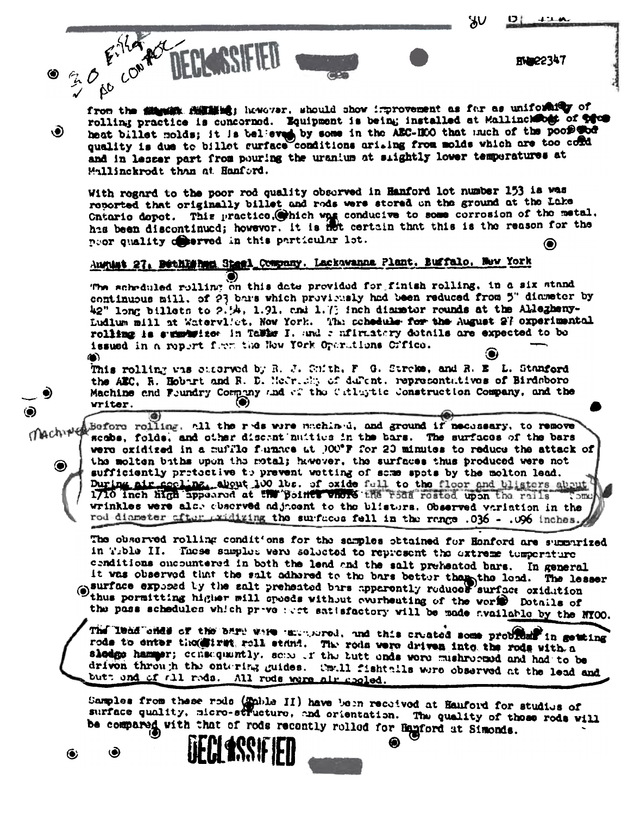እ∪

**HW22347** 

30 Eiller ac from the situality full shows. should show improvement as far as uniforally of rolling practice is concerned. Equipment is being installed at Mallincheogt of the heat billet molds; it is believed by some in the AEC-HOO that much of the poor wood O) and in lesser part from pouring the uranium at slightly lower temperatures at Mallinckrodt than at Hanford.

With regard to the poor rod quality observed in Hanford lot number 153 is was reported that originally billet and rods were stored on the ground at the Lake Cntario dopot. This practice, which was conducive to some corrosion of the metal. has been discontinued; however. It is not certain that this is the reason for the noor quality of errod in this particular lot. ◉

# August 27, Bethlishen Steel Company, Lackawanna Plant, Buffalo, New York

The scheduled rolling on this date provided for finish rolling, in a six stand continuous mill. of 23 bars which provisesly had been reduced from 5" diameter by 42" long billets to 2.54, 1.91, and 1.73 inch diameter rounds at the Allezheny-Ludlum mill at Watervliet, Now York. The schedule for the August 27 oxperimental rolling is summution in Talks I. and a nfirmatory dotatls are expected to be issued in a report form the New York Operations Criteo. ⋒

This rolling was castered by R. J. Cuith, F. G. Streke, and R. B. L. Stanford the AEC, R. Hobart and R. D. Medrick, of dulcht, representatives of Birdsboro Machine and Foundry Company and of the Catlertic Construction Company, and the writer.

Before rolling, all the reds were machined, and ground if necessary, to remove machine scobe, folds, and other discent nuities in the bars. The surfaces of the bars were oxidized in a muffle funnes at POU\*F for 20 minutes to reduce the attack of the molten baths upon the motal; hawever, the surfaces thus produced were not ◉ sufficiently protective to prevent wotting of some spots by the molton lead. During air cocline, about 100 lbs. of oxide full to the floor and blisters about ెంπబ wrinkles were also abserved adjacent to the blistors. Observed variation in the rod diameter after axidizing the surfaces fell in the range .036 - .096 inches.

The observed rolling conditions for the samples obtained for Honford are summarized in Tible II. These samples were selected to represent the extreme temperature cenditions oncountered in both the lend and the salt preheated bars. In general it was observed that the salt adhared to the bars better than the lead. The lesser surface exposed by the salt preheated bars apparently reduces surface oxidution thus pormitting higher mill speeds without everheating of the world Dotails of the pass schedules which prevented satisfactory will be made available by the NYOO.

The lead ones of the bare were unconserved, and this created some problems in getting rods to enter thomestrat roll stand. The rods were driven into the rods with a slodge hamper; consequently, sense of the butt ends were mushreened and had to be driven through the entering guides. Small fishtnils were observed at the lead and butt and of all rods. All rods were air gooled.

Samples from these rods (Ephle II) have been received at Hanford for studius of surface quality, micro-structure, and orientation. The quality of these rods will be compared with that of rods recently rolled for Hanford at Simonds.

**ISSE ER** 

⋒

◉ ◉

◉

۲